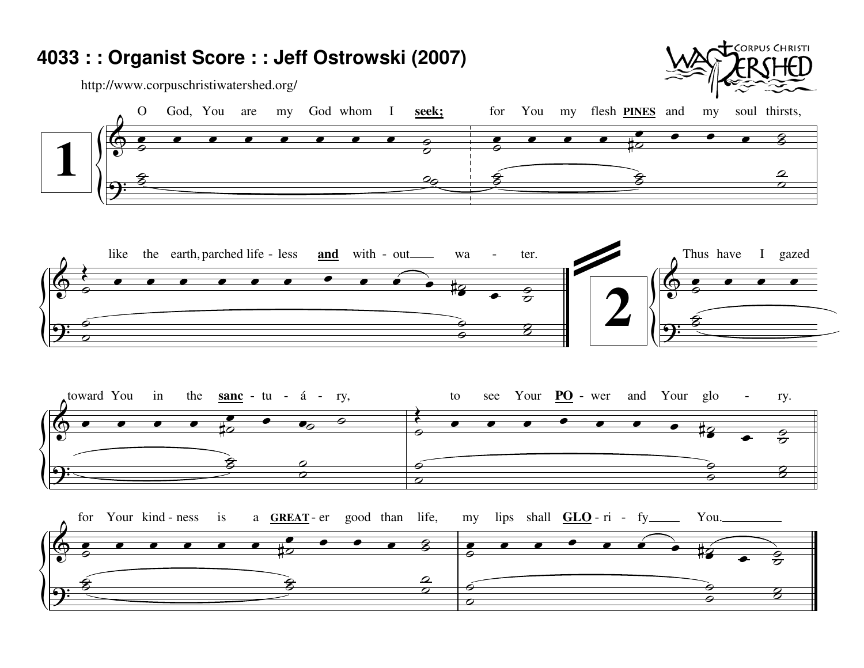## 4033 : : Organist Score : : Jeff Ostrowski (2007)

⌒  $\overline{\mathcal{O}}$ 

http://www.corpuschristiwatershed.org/